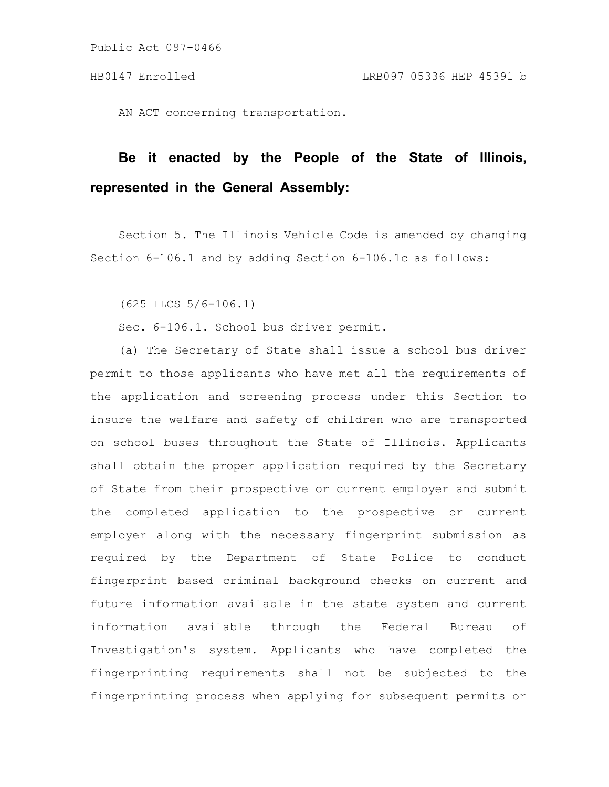AN ACT concerning transportation.

# **Be it enacted by the People of the State of Illinois, represented in the General Assembly:**

Section 5. The Illinois Vehicle Code is amended by changing Section 6-106.1 and by adding Section 6-106.1c as follows:

(625 ILCS 5/6-106.1)

Sec. 6-106.1. School bus driver permit.

(a) The Secretary of State shall issue a school bus driver permit to those applicants who have met all the requirements of the application and screening process under this Section to insure the welfare and safety of children who are transported on school buses throughout the State of Illinois. Applicants shall obtain the proper application required by the Secretary of State from their prospective or current employer and submit the completed application to the prospective or current employer along with the necessary fingerprint submission as required by the Department of State Police to conduct fingerprint based criminal background checks on current and future information available in the state system and current information available through the Federal Bureau of Investigation's system. Applicants who have completed the fingerprinting requirements shall not be subjected to the fingerprinting process when applying for subsequent permits or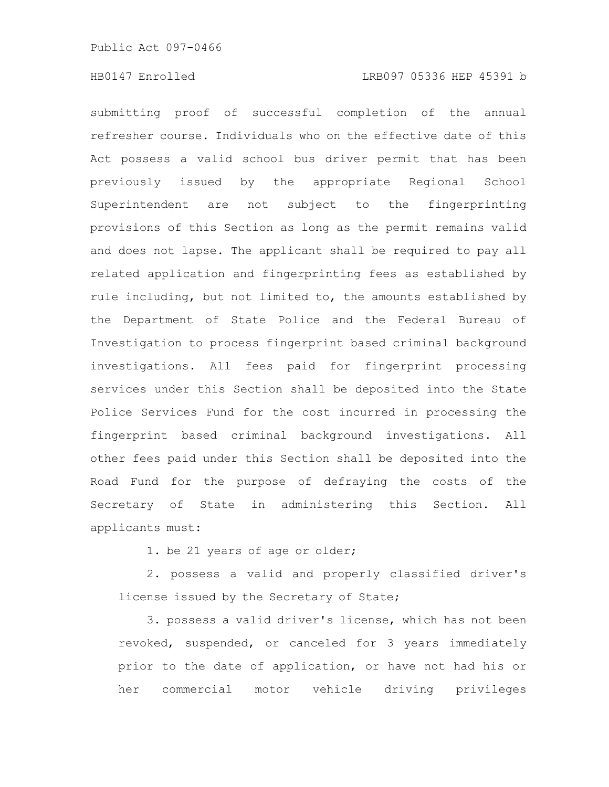## HB0147 Enrolled LRB097 05336 HEP 45391 b

submitting proof of successful completion of the annual refresher course. Individuals who on the effective date of this Act possess a valid school bus driver permit that has been previously issued by the appropriate Regional School Superintendent are not subject to the fingerprinting provisions of this Section as long as the permit remains valid and does not lapse. The applicant shall be required to pay all related application and fingerprinting fees as established by rule including, but not limited to, the amounts established by the Department of State Police and the Federal Bureau of Investigation to process fingerprint based criminal background investigations. All fees paid for fingerprint processing services under this Section shall be deposited into the State Police Services Fund for the cost incurred in processing the fingerprint based criminal background investigations. All other fees paid under this Section shall be deposited into the Road Fund for the purpose of defraying the costs of the Secretary of State in administering this Section. All applicants must:

1. be 21 years of age or older;

2. possess a valid and properly classified driver's license issued by the Secretary of State;

3. possess a valid driver's license, which has not been revoked, suspended, or canceled for 3 years immediately prior to the date of application, or have not had his or her commercial motor vehicle driving privileges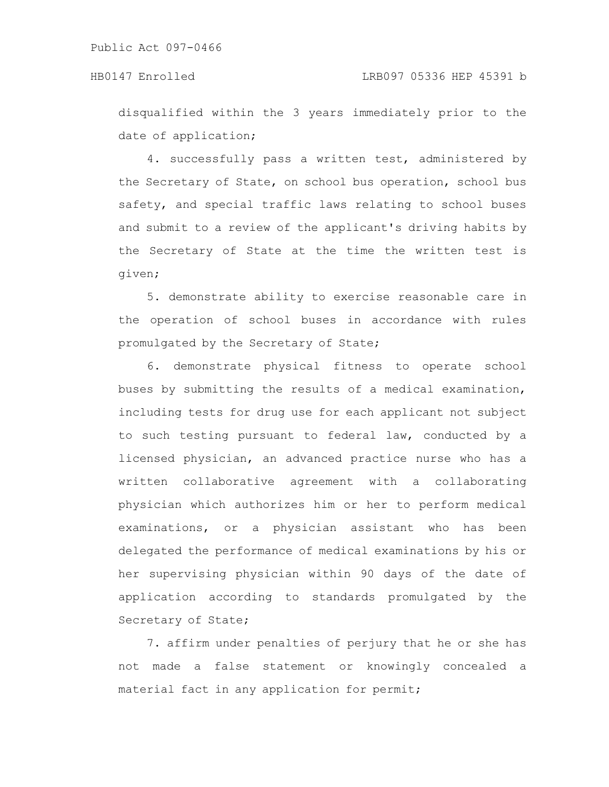disqualified within the 3 years immediately prior to the date of application;

4. successfully pass a written test, administered by the Secretary of State, on school bus operation, school bus safety, and special traffic laws relating to school buses and submit to a review of the applicant's driving habits by the Secretary of State at the time the written test is given;

5. demonstrate ability to exercise reasonable care in the operation of school buses in accordance with rules promulgated by the Secretary of State;

6. demonstrate physical fitness to operate school buses by submitting the results of a medical examination, including tests for drug use for each applicant not subject to such testing pursuant to federal law, conducted by a licensed physician, an advanced practice nurse who has a written collaborative agreement with a collaborating physician which authorizes him or her to perform medical examinations, or a physician assistant who has been delegated the performance of medical examinations by his or her supervising physician within 90 days of the date of application according to standards promulgated by the Secretary of State;

7. affirm under penalties of perjury that he or she has not made a false statement or knowingly concealed a material fact in any application for permit;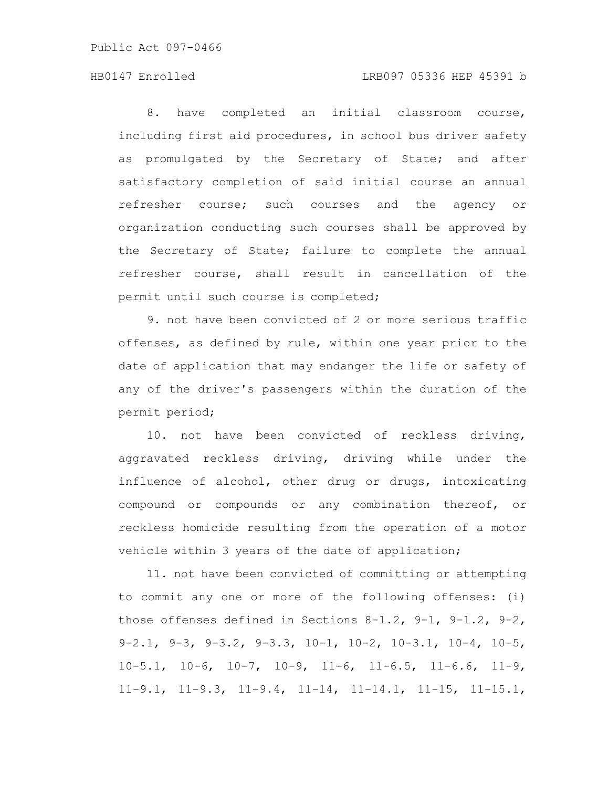Public Act 097-0466

## HB0147 Enrolled LRB097 05336 HEP 45391 b

8. have completed an initial classroom course, including first aid procedures, in school bus driver safety as promulgated by the Secretary of State; and after satisfactory completion of said initial course an annual refresher course; such courses and the agency or organization conducting such courses shall be approved by the Secretary of State; failure to complete the annual refresher course, shall result in cancellation of the permit until such course is completed;

9. not have been convicted of 2 or more serious traffic offenses, as defined by rule, within one year prior to the date of application that may endanger the life or safety of any of the driver's passengers within the duration of the permit period;

10. not have been convicted of reckless driving, aggravated reckless driving, driving while under the influence of alcohol, other drug or drugs, intoxicating compound or compounds or any combination thereof, or reckless homicide resulting from the operation of a motor vehicle within 3 years of the date of application;

11. not have been convicted of committing or attempting to commit any one or more of the following offenses: (i) those offenses defined in Sections 8-1.2, 9-1, 9-1.2, 9-2, 9-2.1, 9-3, 9-3.2, 9-3.3, 10-1, 10-2, 10-3.1, 10-4, 10-5,  $10-5.1$ ,  $10-6$ ,  $10-7$ ,  $10-9$ ,  $11-6$ ,  $11-6.5$ ,  $11-6.6$ ,  $11-9$ , 11-9.1, 11-9.3, 11-9.4, 11-14, 11-14.1, 11-15, 11-15.1,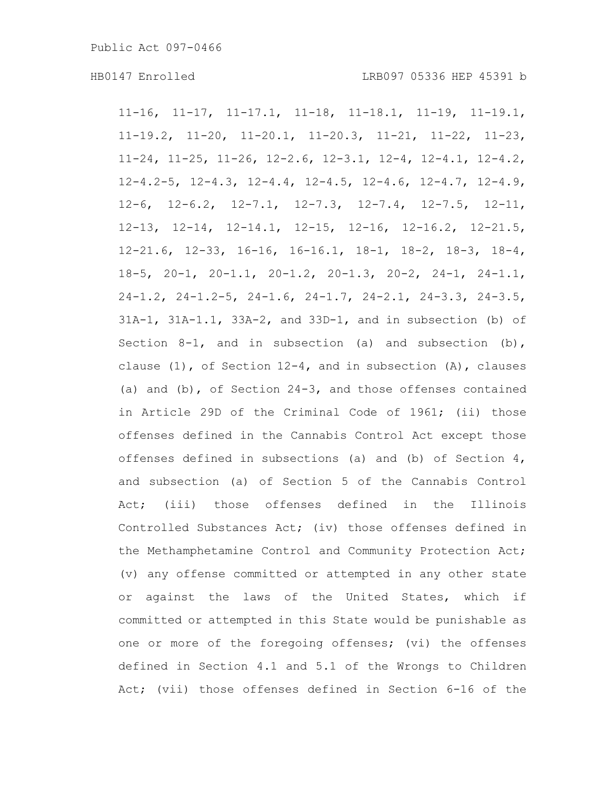11-16, 11-17, 11-17.1, 11-18, 11-18.1, 11-19, 11-19.1, 11-19.2, 11-20, 11-20.1, 11-20.3, 11-21, 11-22, 11-23, 11-24, 11-25, 11-26, 12-2.6, 12-3.1, 12-4, 12-4.1, 12-4.2, 12-4.2-5, 12-4.3, 12-4.4, 12-4.5, 12-4.6, 12-4.7, 12-4.9, 12-6, 12-6.2, 12-7.1, 12-7.3, 12-7.4, 12-7.5, 12-11, 12-13, 12-14, 12-14.1, 12-15, 12-16, 12-16.2, 12-21.5, 12-21.6, 12-33, 16-16, 16-16.1, 18-1, 18-2, 18-3, 18-4, 18-5, 20-1, 20-1.1, 20-1.2, 20-1.3, 20-2, 24-1, 24-1.1, 24-1.2, 24-1.2-5, 24-1.6, 24-1.7, 24-2.1, 24-3.3, 24-3.5, 31A-1, 31A-1.1, 33A-2, and 33D-1, and in subsection (b) of Section  $8-1$ , and in subsection (a) and subsection (b), clause  $(1)$ , of Section 12-4, and in subsection  $(A)$ , clauses (a) and (b), of Section 24-3, and those offenses contained in Article 29D of the Criminal Code of 1961; (ii) those offenses defined in the Cannabis Control Act except those offenses defined in subsections (a) and (b) of Section 4, and subsection (a) of Section 5 of the Cannabis Control Act; (iii) those offenses defined in the Illinois Controlled Substances Act; (iv) those offenses defined in the Methamphetamine Control and Community Protection Act; (v) any offense committed or attempted in any other state or against the laws of the United States, which if committed or attempted in this State would be punishable as one or more of the foregoing offenses; (vi) the offenses defined in Section 4.1 and 5.1 of the Wrongs to Children Act; (vii) those offenses defined in Section 6-16 of the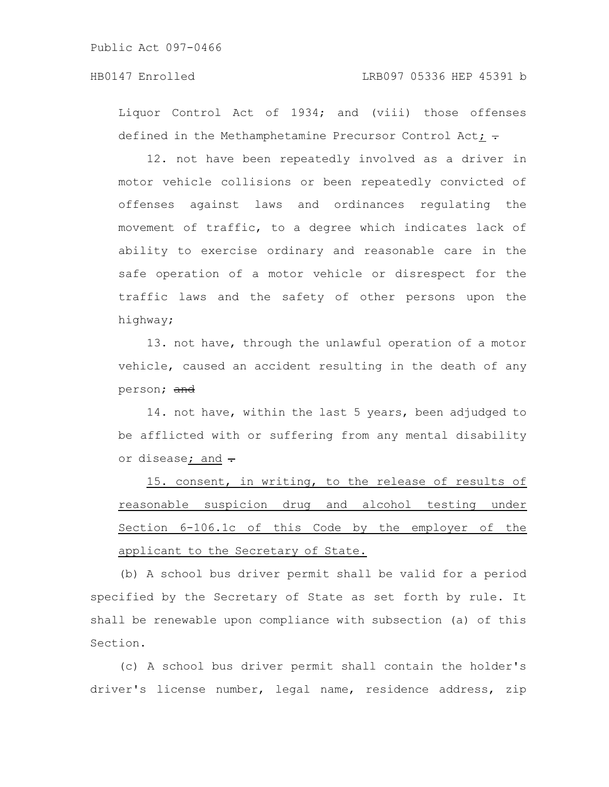Liquor Control Act of 1934; and (viii) those offenses defined in the Methamphetamine Precursor Control Act;  $\div$ 

12. not have been repeatedly involved as a driver in motor vehicle collisions or been repeatedly convicted of offenses against laws and ordinances regulating the movement of traffic, to a degree which indicates lack of ability to exercise ordinary and reasonable care in the safe operation of a motor vehicle or disrespect for the traffic laws and the safety of other persons upon the highway;

13. not have, through the unlawful operation of a motor vehicle, caused an accident resulting in the death of any person; and

14. not have, within the last 5 years, been adjudged to be afflicted with or suffering from any mental disability or disease; and -

15. consent, in writing, to the release of results of reasonable suspicion drug and alcohol testing under Section 6-106.1c of this Code by the employer of the applicant to the Secretary of State.

(b) A school bus driver permit shall be valid for a period specified by the Secretary of State as set forth by rule. It shall be renewable upon compliance with subsection (a) of this Section.

(c) A school bus driver permit shall contain the holder's driver's license number, legal name, residence address, zip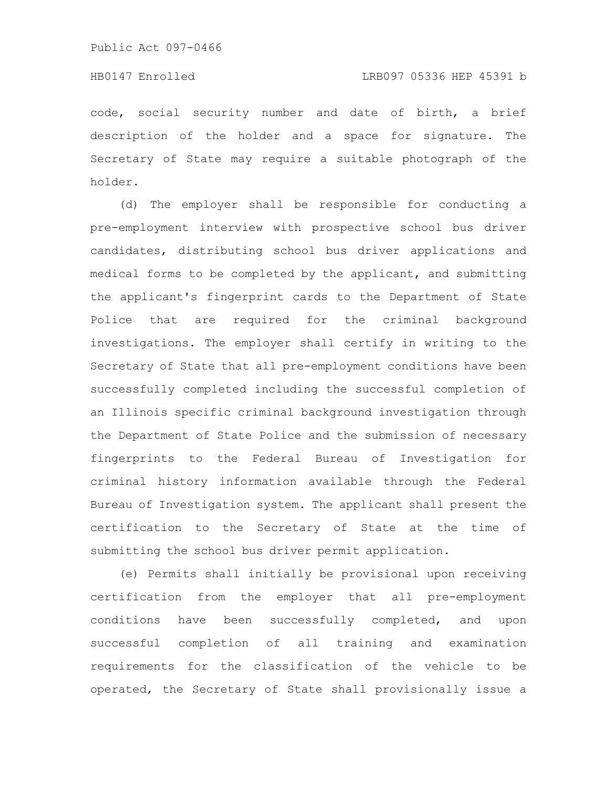## HB0147 Enrolled LRB097 05336 HEP 45391 b

code, social security number and date of birth, a brief description of the holder and a space for signature. The Secretary of State may require a suitable photograph of the holder.

(d) The employer shall be responsible for conducting a pre-employment interview with prospective school bus driver candidates, distributing school bus driver applications and medical forms to be completed by the applicant, and submitting the applicant's fingerprint cards to the Department of State Police that are required for the criminal background investigations. The employer shall certify in writing to the Secretary of State that all pre-employment conditions have been successfully completed including the successful completion of an Illinois specific criminal background investigation through the Department of State Police and the submission of necessary fingerprints to the Federal Bureau of Investigation for criminal history information available through the Federal Bureau of Investigation system. The applicant shall present the certification to the Secretary of State at the time of submitting the school bus driver permit application.

(e) Permits shall initially be provisional upon receiving certification from the employer that all pre-employment conditions have been successfully completed, and upon successful completion of all training and examination requirements for the classification of the vehicle to be operated, the Secretary of State shall provisionally issue a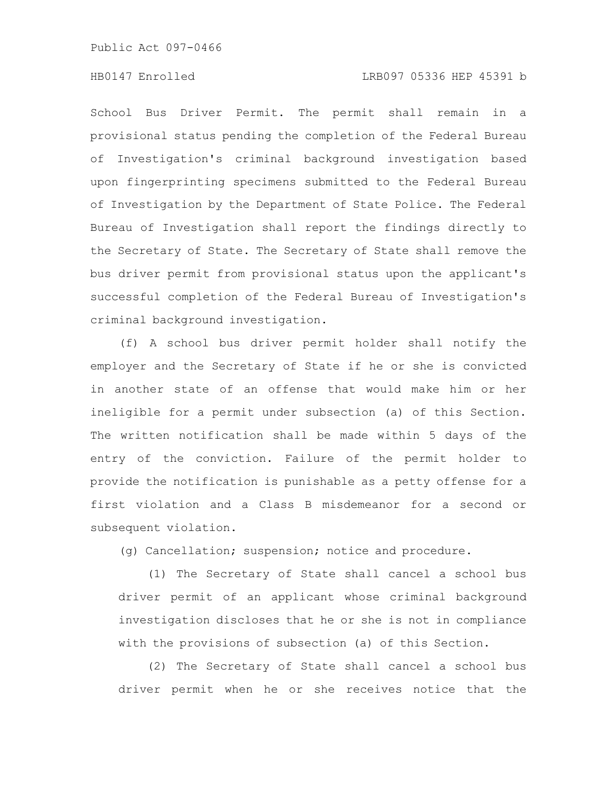Public Act 097-0466

## HB0147 Enrolled LRB097 05336 HEP 45391 b

School Bus Driver Permit. The permit shall remain in a provisional status pending the completion of the Federal Bureau of Investigation's criminal background investigation based upon fingerprinting specimens submitted to the Federal Bureau of Investigation by the Department of State Police. The Federal Bureau of Investigation shall report the findings directly to the Secretary of State. The Secretary of State shall remove the bus driver permit from provisional status upon the applicant's successful completion of the Federal Bureau of Investigation's criminal background investigation.

(f) A school bus driver permit holder shall notify the employer and the Secretary of State if he or she is convicted in another state of an offense that would make him or her ineligible for a permit under subsection (a) of this Section. The written notification shall be made within 5 days of the entry of the conviction. Failure of the permit holder to provide the notification is punishable as a petty offense for a first violation and a Class B misdemeanor for a second or subsequent violation.

(g) Cancellation; suspension; notice and procedure.

(1) The Secretary of State shall cancel a school bus driver permit of an applicant whose criminal background investigation discloses that he or she is not in compliance with the provisions of subsection (a) of this Section.

(2) The Secretary of State shall cancel a school bus driver permit when he or she receives notice that the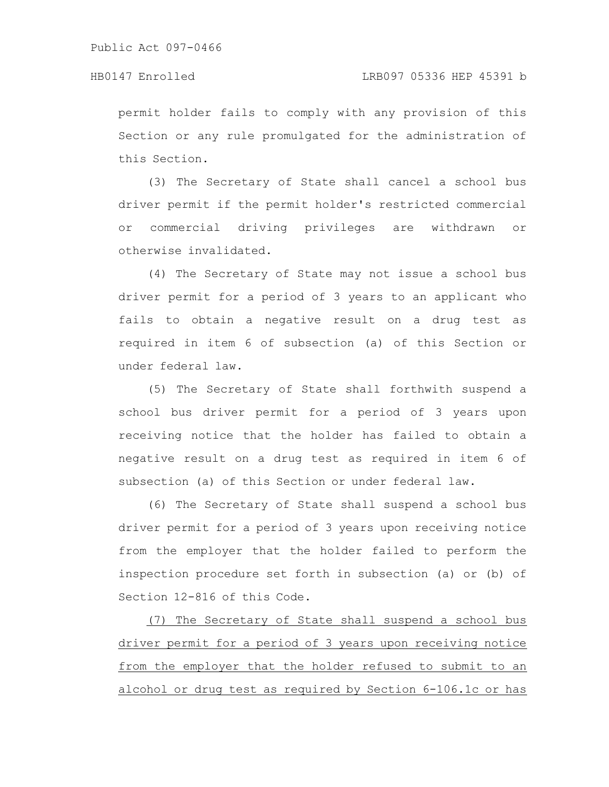permit holder fails to comply with any provision of this Section or any rule promulgated for the administration of this Section.

(3) The Secretary of State shall cancel a school bus driver permit if the permit holder's restricted commercial or commercial driving privileges are withdrawn or otherwise invalidated.

(4) The Secretary of State may not issue a school bus driver permit for a period of 3 years to an applicant who fails to obtain a negative result on a drug test as required in item 6 of subsection (a) of this Section or under federal law.

(5) The Secretary of State shall forthwith suspend a school bus driver permit for a period of 3 years upon receiving notice that the holder has failed to obtain a negative result on a drug test as required in item 6 of subsection (a) of this Section or under federal law.

(6) The Secretary of State shall suspend a school bus driver permit for a period of 3 years upon receiving notice from the employer that the holder failed to perform the inspection procedure set forth in subsection (a) or (b) of Section 12-816 of this Code.

(7) The Secretary of State shall suspend a school bus driver permit for a period of 3 years upon receiving notice from the employer that the holder refused to submit to an alcohol or drug test as required by Section 6-106.1c or has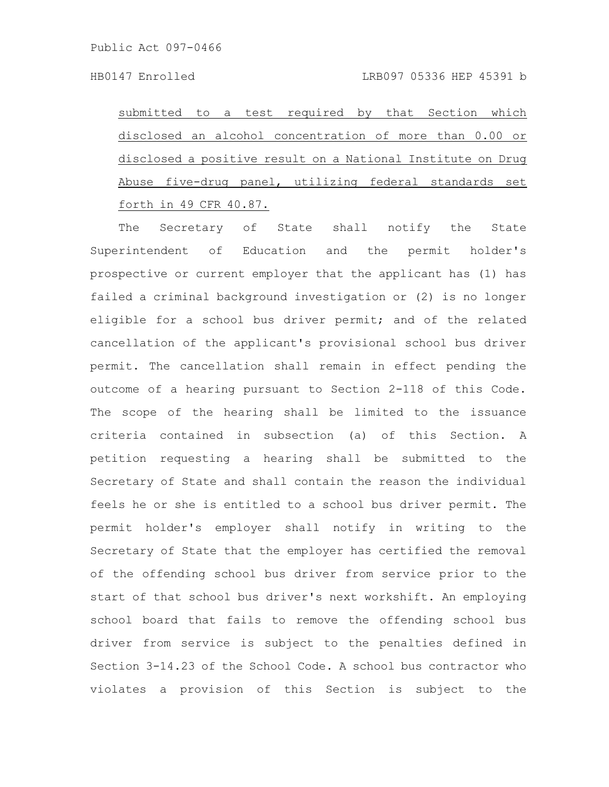submitted to a test required by that Section which disclosed an alcohol concentration of more than 0.00 or disclosed a positive result on a National Institute on Drug Abuse five-drug panel, utilizing federal standards set forth in 49 CFR 40.87.

The Secretary of State shall notify the State Superintendent of Education and the permit holder's prospective or current employer that the applicant has (1) has failed a criminal background investigation or (2) is no longer eligible for a school bus driver permit; and of the related cancellation of the applicant's provisional school bus driver permit. The cancellation shall remain in effect pending the outcome of a hearing pursuant to Section 2-118 of this Code. The scope of the hearing shall be limited to the issuance criteria contained in subsection (a) of this Section. A petition requesting a hearing shall be submitted to the Secretary of State and shall contain the reason the individual feels he or she is entitled to a school bus driver permit. The permit holder's employer shall notify in writing to the Secretary of State that the employer has certified the removal of the offending school bus driver from service prior to the start of that school bus driver's next workshift. An employing school board that fails to remove the offending school bus driver from service is subject to the penalties defined in Section 3-14.23 of the School Code. A school bus contractor who violates a provision of this Section is subject to the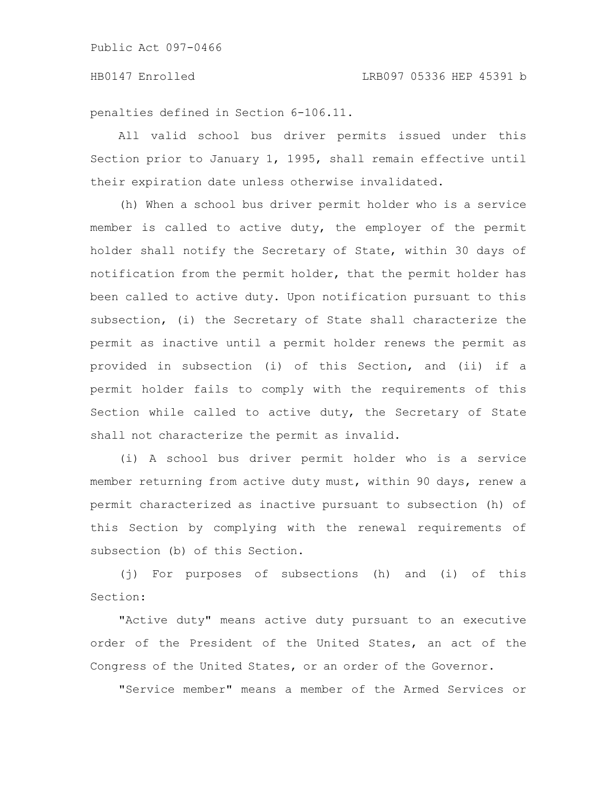penalties defined in Section 6-106.11.

All valid school bus driver permits issued under this Section prior to January 1, 1995, shall remain effective until their expiration date unless otherwise invalidated.

(h) When a school bus driver permit holder who is a service member is called to active duty, the employer of the permit holder shall notify the Secretary of State, within 30 days of notification from the permit holder, that the permit holder has been called to active duty. Upon notification pursuant to this subsection, (i) the Secretary of State shall characterize the permit as inactive until a permit holder renews the permit as provided in subsection (i) of this Section, and (ii) if a permit holder fails to comply with the requirements of this Section while called to active duty, the Secretary of State shall not characterize the permit as invalid.

(i) A school bus driver permit holder who is a service member returning from active duty must, within 90 days, renew a permit characterized as inactive pursuant to subsection (h) of this Section by complying with the renewal requirements of subsection (b) of this Section.

(j) For purposes of subsections (h) and (i) of this Section:

"Active duty" means active duty pursuant to an executive order of the President of the United States, an act of the Congress of the United States, or an order of the Governor.

"Service member" means a member of the Armed Services or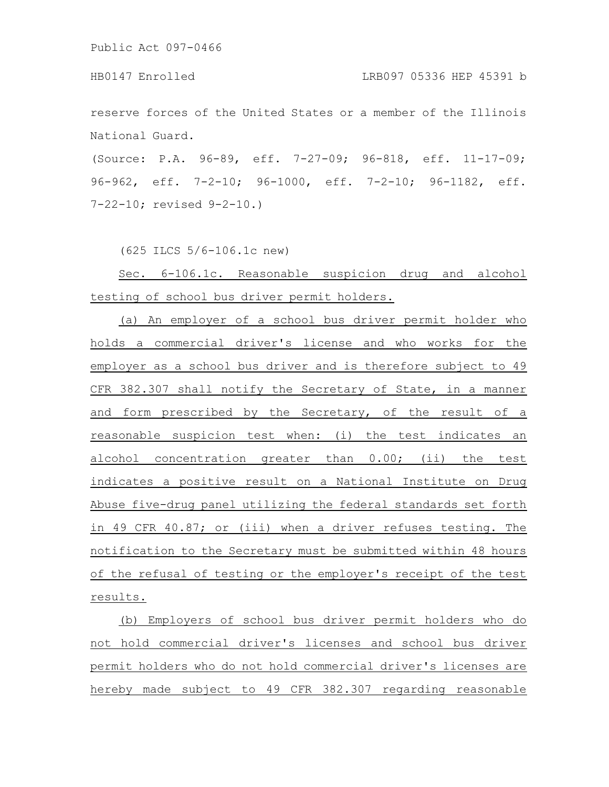Public Act 097-0466

HB0147 Enrolled LRB097 05336 HEP 45391 b

reserve forces of the United States or a member of the Illinois National Guard.

(Source: P.A. 96-89, eff. 7-27-09; 96-818, eff. 11-17-09; 96-962, eff. 7-2-10; 96-1000, eff. 7-2-10; 96-1182, eff. 7-22-10; revised 9-2-10.)

(625 ILCS 5/6-106.1c new)

Sec. 6-106.1c. Reasonable suspicion drug and alcohol testing of school bus driver permit holders.

(a) An employer of a school bus driver permit holder who holds a commercial driver's license and who works for the employer as a school bus driver and is therefore subject to 49 CFR 382.307 shall notify the Secretary of State, in a manner and form prescribed by the Secretary, of the result of a reasonable suspicion test when: (i) the test indicates an alcohol concentration greater than 0.00; (ii) the test indicates a positive result on a National Institute on Drug Abuse five-drug panel utilizing the federal standards set forth in 49 CFR 40.87; or (iii) when a driver refuses testing. The notification to the Secretary must be submitted within 48 hours of the refusal of testing or the employer's receipt of the test results.

(b) Employers of school bus driver permit holders who do not hold commercial driver's licenses and school bus driver permit holders who do not hold commercial driver's licenses are hereby made subject to 49 CFR 382.307 regarding reasonable